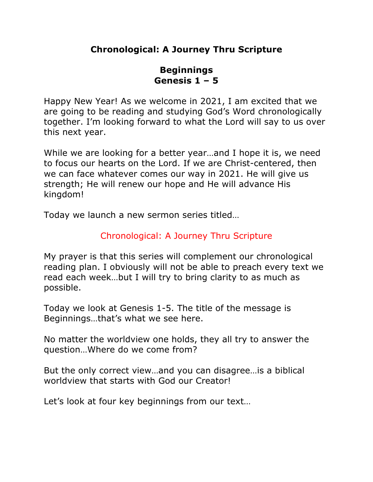# **Chronological: A Journey Thru Scripture**

# **Beginnings Genesis 1 – 5**

Happy New Year! As we welcome in 2021, I am excited that we are going to be reading and studying God's Word chronologically together. I'm looking forward to what the Lord will say to us over this next year.

While we are looking for a better year…and I hope it is, we need to focus our hearts on the Lord. If we are Christ-centered, then we can face whatever comes our way in 2021. He will give us strength; He will renew our hope and He will advance His kingdom!

Today we launch a new sermon series titled…

# Chronological: A Journey Thru Scripture

My prayer is that this series will complement our chronological reading plan. I obviously will not be able to preach every text we read each week…but I will try to bring clarity to as much as possible.

Today we look at Genesis 1-5. The title of the message is Beginnings…that's what we see here.

No matter the worldview one holds, they all try to answer the question…Where do we come from?

But the only correct view…and you can disagree…is a biblical worldview that starts with God our Creator!

Let's look at four key beginnings from our text…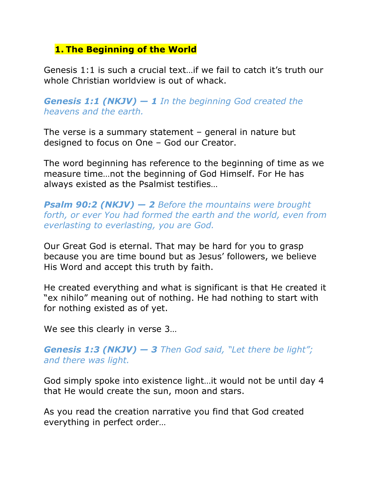# **1. The Beginning of the World**

Genesis 1:1 is such a crucial text…if we fail to catch it's truth our whole Christian worldview is out of whack.

*Genesis 1:1 (NKJV) — 1 In the beginning God created the heavens and the earth.*

The verse is a summary statement – general in nature but designed to focus on One – God our Creator.

The word beginning has reference to the beginning of time as we measure time…not the beginning of God Himself. For He has always existed as the Psalmist testifies…

*Psalm 90:2 (NKJV) — 2 Before the mountains were brought forth, or ever You had formed the earth and the world, even from everlasting to everlasting, you are God.*

Our Great God is eternal. That may be hard for you to grasp because you are time bound but as Jesus' followers, we believe His Word and accept this truth by faith.

He created everything and what is significant is that He created it "ex nihilo" meaning out of nothing. He had nothing to start with for nothing existed as of yet.

We see this clearly in verse 3…

### *Genesis 1:3 (NKJV) — 3 Then God said, "Let there be light"; and there was light.*

God simply spoke into existence light…it would not be until day 4 that He would create the sun, moon and stars.

As you read the creation narrative you find that God created everything in perfect order…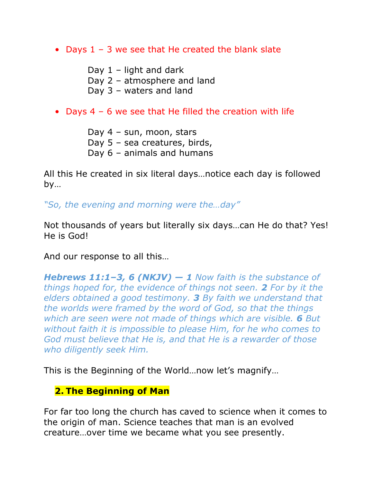• Days  $1 - 3$  we see that He created the blank slate

Day  $1$  – light and dark

Day 2 – atmosphere and land

Day 3 – waters and land

## • Days 4 – 6 we see that He filled the creation with life

Day 4 – sun, moon, stars Day 5 – sea creatures, birds, Day 6 – animals and humans

All this He created in six literal days…notice each day is followed by…

*"So, the evening and morning were the…day"*

Not thousands of years but literally six days…can He do that? Yes! He is God!

And our response to all this…

*Hebrews 11:1–3, 6 (NKJV) — 1 Now faith is the substance of things hoped for, the evidence of things not seen. 2 For by it the elders obtained a good testimony. 3 By faith we understand that the worlds were framed by the word of God, so that the things which are seen were not made of things which are visible. 6 But without faith it is impossible to please Him, for he who comes to God must believe that He is, and that He is a rewarder of those who diligently seek Him.*

This is the Beginning of the World…now let's magnify…

# **2. The Beginning of Man**

For far too long the church has caved to science when it comes to the origin of man. Science teaches that man is an evolved creature…over time we became what you see presently.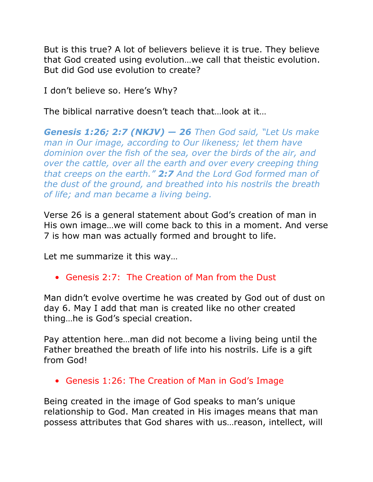But is this true? A lot of believers believe it is true. They believe that God created using evolution…we call that theistic evolution. But did God use evolution to create?

I don't believe so. Here's Why?

The biblical narrative doesn't teach that…look at it…

*Genesis 1:26; 2:7 (NKJV) — 26 Then God said, "Let Us make man in Our image, according to Our likeness; let them have dominion over the fish of the sea, over the birds of the air, and over the cattle, over all the earth and over every creeping thing that creeps on the earth." 2:7 And the Lord God formed man of the dust of the ground, and breathed into his nostrils the breath of life; and man became a living being.*

Verse 26 is a general statement about God's creation of man in His own image…we will come back to this in a moment. And verse 7 is how man was actually formed and brought to life.

Let me summarize it this way…

• Genesis 2:7: The Creation of Man from the Dust

Man didn't evolve overtime he was created by God out of dust on day 6. May I add that man is created like no other created thing…he is God's special creation.

Pay attention here…man did not become a living being until the Father breathed the breath of life into his nostrils. Life is a gift from God!

• Genesis 1:26: The Creation of Man in God's Image

Being created in the image of God speaks to man's unique relationship to God. Man created in His images means that man possess attributes that God shares with us…reason, intellect, will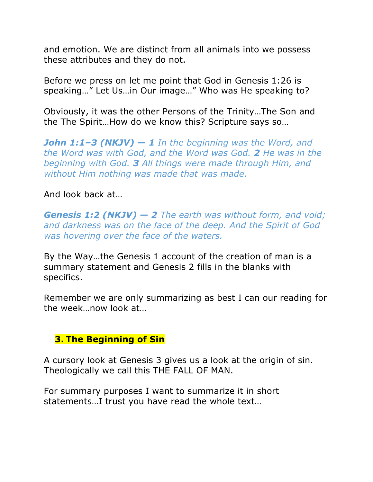and emotion. We are distinct from all animals into we possess these attributes and they do not.

Before we press on let me point that God in Genesis 1:26 is speaking…" Let Us…in Our image…" Who was He speaking to?

Obviously, it was the other Persons of the Trinity…The Son and the The Spirit…How do we know this? Scripture says so…

*John 1:1–3 (NKJV) — 1 In the beginning was the Word, and the Word was with God, and the Word was God. 2 He was in the beginning with God. 3 All things were made through Him, and without Him nothing was made that was made.*

#### And look back at…

*Genesis 1:2 (NKJV) — 2 The earth was without form, and void; and darkness was on the face of the deep. And the Spirit of God was hovering over the face of the waters.*

By the Way…the Genesis 1 account of the creation of man is a summary statement and Genesis 2 fills in the blanks with specifics.

Remember we are only summarizing as best I can our reading for the week…now look at…

### **3. The Beginning of Sin**

A cursory look at Genesis 3 gives us a look at the origin of sin. Theologically we call this THE FALL OF MAN.

For summary purposes I want to summarize it in short statements…I trust you have read the whole text…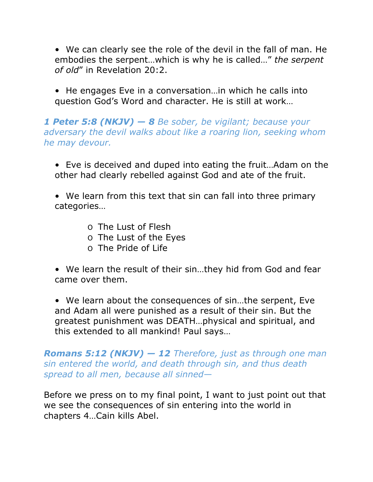• We can clearly see the role of the devil in the fall of man. He embodies the serpent…which is why he is called…" *the serpent of old*" in Revelation 20:2.

• He engages Eve in a conversation…in which he calls into question God's Word and character. He is still at work…

### *1 Peter 5:8 (NKJV) — 8 Be sober, be vigilant; because your adversary the devil walks about like a roaring lion, seeking whom he may devour.*

• Eve is deceived and duped into eating the fruit…Adam on the other had clearly rebelled against God and ate of the fruit.

• We learn from this text that sin can fall into three primary categories…

- O The Lust of Flesh
- O The Lust of the Eyes
- O The Pride of Life

• We learn the result of their sin…they hid from God and fear came over them.

• We learn about the consequences of sin…the serpent, Eve and Adam all were punished as a result of their sin. But the greatest punishment was DEATH…physical and spiritual, and this extended to all mankind! Paul says…

*Romans 5:12 (NKJV) — 12 Therefore, just as through one man sin entered the world, and death through sin, and thus death spread to all men, because all sinned—*

Before we press on to my final point, I want to just point out that we see the consequences of sin entering into the world in chapters 4…Cain kills Abel.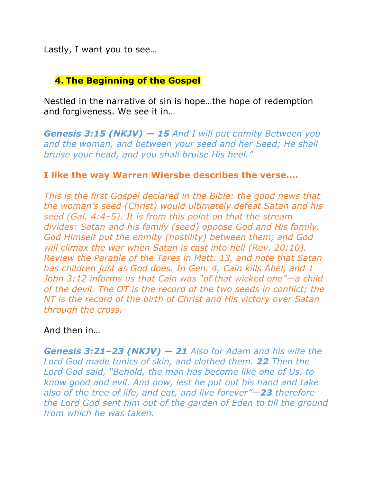Lastly, I want you to see…

#### **4. The Beginning of the Gospel**

Nestled in the narrative of sin is hope…the hope of redemption and forgiveness. We see it in…

*Genesis 3:15 (NKJV) — 15 And I will put enmity Between you and the woman, and between your seed and her Seed; He shall bruise your head, and you shall bruise His heel."*

#### **I like the way Warren Wiersbe describes the verse….**

*This is the first Gospel declared in the Bible: the good news that the woman's seed (Christ) would ultimately defeat Satan and his seed (Gal. 4:4–5). It is from this point on that the stream divides: Satan and his family (seed) oppose God and His family. God Himself put the enmity (hostility) between them, and God will climax the war when Satan is cast into hell (Rev. 20:10). Review the Parable of the Tares in Matt. 13, and note that Satan has children just as God does. In Gen. 4, Cain kills Abel, and 1 John 3:12 informs us that Cain was "of that wicked one"—a child of the devil. The OT is the record of the two seeds in conflict; the NT is the record of the birth of Christ and His victory over Satan through the cross.*

And then in…

*Genesis 3:21–23 (NKJV) — 21 Also for Adam and his wife the Lord God made tunics of skin, and clothed them. 22 Then the Lord God said, "Behold, the man has become like one of Us, to know good and evil. And now, lest he put out his hand and take also of the tree of life, and eat, and live forever"—23 therefore the Lord God sent him out of the garden of Eden to till the ground from which he was taken.*